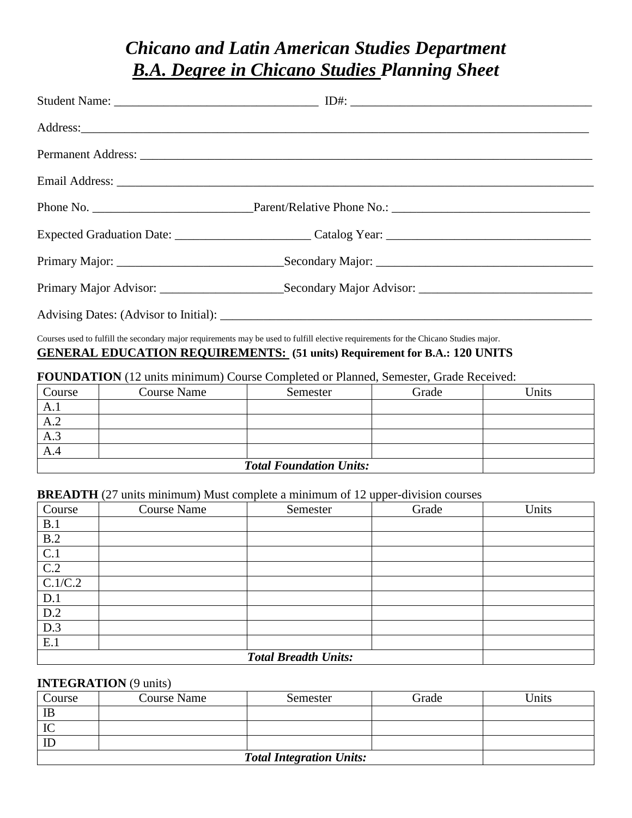# *Chicano and Latin American Studies Department B.A. Degree in Chicano Studies Planning Sheet*

| Expected Graduation Date: Catalog Year: Catalog Year: |
|-------------------------------------------------------|
|                                                       |
|                                                       |
|                                                       |

Courses used to fulfill the secondary major requirements may be used to fulfill elective requirements for the Chicano Studies major. **GENERAL EDUCATION REQUIREMENTS: (51 units) Requirement for B.A.: 120 UNITS**

**FOUNDATION** (12 units minimum) Course Completed or Planned, Semester, Grade Received:

| Course | <b>Course Name</b>             | Semester | Grade | <b>Units</b> |  |
|--------|--------------------------------|----------|-------|--------------|--|
| A.I    |                                |          |       |              |  |
| A.2    |                                |          |       |              |  |
| A.3    |                                |          |       |              |  |
| Α.4    |                                |          |       |              |  |
|        | <b>Total Foundation Units:</b> |          |       |              |  |

#### **BREADTH** (27 units minimum) Must complete a minimum of 12 upper-division courses

| Course  | <b>Course Name</b> | Semester                    | . I L<br>Grade | Units |
|---------|--------------------|-----------------------------|----------------|-------|
| B.1     |                    |                             |                |       |
| B.2     |                    |                             |                |       |
| C.1     |                    |                             |                |       |
| C.2     |                    |                             |                |       |
| C.1/C.2 |                    |                             |                |       |
| D.1     |                    |                             |                |       |
| D.2     |                    |                             |                |       |
| D.3     |                    |                             |                |       |
| E.1     |                    |                             |                |       |
|         |                    | <b>Total Breadth Units:</b> |                |       |

#### **INTEGRATION** (9 units)

| Course                          | <b>Course Name</b> | Semester | Grade | <b>Jnits</b> |
|---------------------------------|--------------------|----------|-------|--------------|
| IB                              |                    |          |       |              |
| IC                              |                    |          |       |              |
|                                 |                    |          |       |              |
| <b>Total Integration Units:</b> |                    |          |       |              |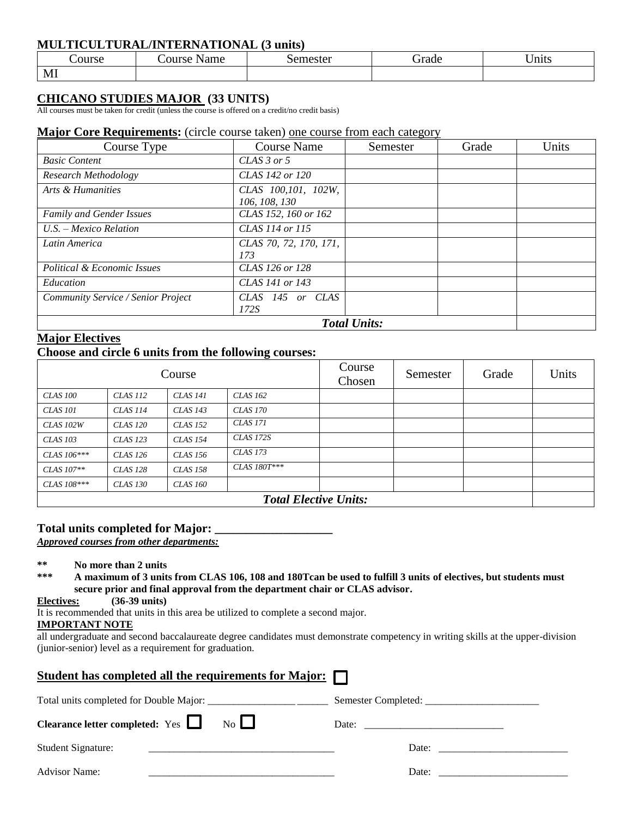# **MULTICULTURAL/INTERNATIONAL (3 units)**

| course | $\sim$ ourse $\sim$<br>√ame<br>$\mathbf{N}$ | semester | <b>rrade</b> | $ -$<br>Jnits |
|--------|---------------------------------------------|----------|--------------|---------------|
| MI     |                                             |          |              |               |

# **CHICANO STUDIES MAJOR (33 UNITS)**

All courses must be taken for credit (unless the course is offered on a credit/no credit basis)

#### **Major Core Requirements:** (circle course taken) one course from each category

| Course Type                        | <b>Course Name</b>                   | Semester | Grade | Units |
|------------------------------------|--------------------------------------|----------|-------|-------|
| <b>Basic Content</b>               | CLAS 3 or 5                          |          |       |       |
| Research Methodology               | CLAS 142 or 120                      |          |       |       |
| Arts & Humanities                  | CLAS 100,101, 102W,<br>106, 108, 130 |          |       |       |
| <b>Family and Gender Issues</b>    | CLAS 152, 160 or 162                 |          |       |       |
| $U.S. - Mexico Relation$           | CLAS 114 or 115                      |          |       |       |
| Latin America                      | CLAS 70, 72, 170, 171,<br>173        |          |       |       |
| Political & Economic Issues        | CLAS 126 or 128                      |          |       |       |
| Education                          | CLAS 141 or 143                      |          |       |       |
| Community Service / Senior Project | CLAS 145 or CLAS<br>172S             |          |       |       |
| <b>Total Units:</b>                |                                      |          |       |       |

# **Major Electives**

### **Choose and circle 6 units from the following courses:**

|                              |                 | Course          |                  | Course<br>Chosen | Semester | Grade | Units |
|------------------------------|-----------------|-----------------|------------------|------------------|----------|-------|-------|
| <b>CLAS 100</b>              | <b>CLAS 112</b> | <b>CLAS 141</b> | <b>CLAS 162</b>  |                  |          |       |       |
| <b>CLAS 101</b>              | <b>CLAS 114</b> | <b>CLAS 143</b> | <b>CLAS 170</b>  |                  |          |       |       |
| CLAS 102W                    | <b>CLAS 120</b> | <i>CLAS 152</i> | <b>CLAS 171</b>  |                  |          |       |       |
| <b>CLAS</b> 103              | <b>CLAS</b> 123 | <b>CLAS</b> 154 | <b>CLAS 172S</b> |                  |          |       |       |
| $CLASS106***$                | <b>CLAS</b> 126 | <b>CLAS</b> 156 | <i>CLAS 173</i>  |                  |          |       |       |
| CLAS $107**$                 | <b>CLAS</b> 128 | <b>CLAS</b> 158 | $CIAS 180T***$   |                  |          |       |       |
| $CIAS$ 108***                | <b>CLAS 130</b> | <b>CLAS 160</b> |                  |                  |          |       |       |
| <b>Total Elective Units:</b> |                 |                 |                  |                  |          |       |       |

#### **Total units completed for Major: \_\_\_\_\_\_\_\_\_\_\_\_\_\_\_\_\_\_\_**

*Approved courses from other departments:*

**\*\* No more than 2 units**

**\*\*\* A maximum of 3 units from CLAS 106, 108 and 180Tcan be used to fulfill 3 units of electives, but students must secure prior and final approval from the department chair or CLAS advisor.**

**Electives: (36-39 units)**

It is recommended that units in this area be utilized to complete a second major.

#### **IMPORTANT NOTE**

all undergraduate and second baccalaureate degree candidates must demonstrate competency in writing skills at the upper-division (junior-senior) level as a requirement for graduation.

| Student has completed all the requirements for Major: |                                                          |
|-------------------------------------------------------|----------------------------------------------------------|
|                                                       |                                                          |
| $\overline{N_{0}}$                                    | Date: $\frac{1}{\sqrt{1-\frac{1}{2}} \cdot \frac{1}{2}}$ |
| <b>Student Signature:</b>                             | Date: $\qquad \qquad$                                    |
| <b>Advisor Name:</b>                                  |                                                          |